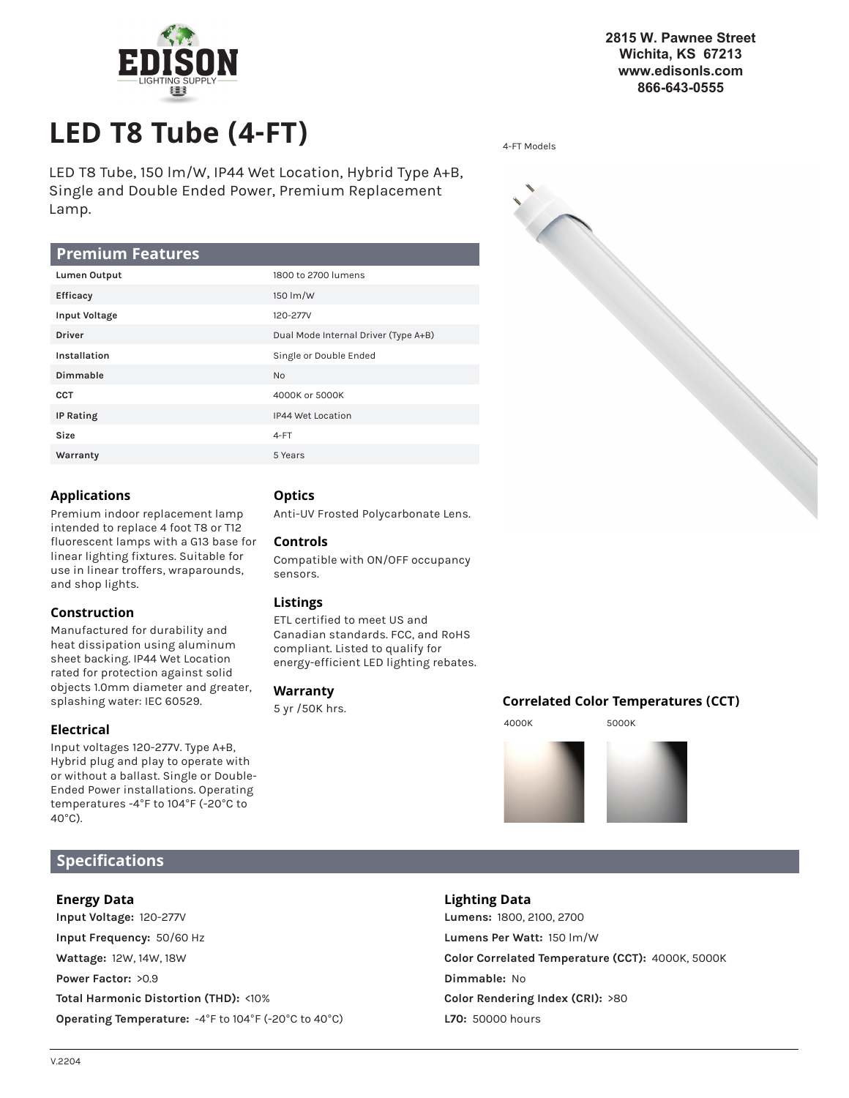

**2815 W. Pawnee Street Wichita, KS 67213 www.edisonls.com 866-643-0555**

# **LED T8 Tube (4-FT)** 4-FT Models

LED T8 Tube, 150 lm/W, IP44 Wet Location, Hybrid Type A+B, Single and Double Ended Power, Premium Replacement Lamp.

### **Premium Features**

| Lumen Output  | 1800 to 2700 lumens                  |
|---------------|--------------------------------------|
| Efficacy      | 150 lm/W                             |
| Input Voltage | 120-277V                             |
| <b>Driver</b> | Dual Mode Internal Driver (Type A+B) |
| Installation  | Single or Double Ended               |
| Dimmable      | <b>No</b>                            |
| <b>CCT</b>    | 4000K or 5000K                       |
| IP Rating     | IP44 Wet Location                    |
| Size          | 4-FT                                 |
| Warranty      | 5 Years                              |

### **Applications**

Premium indoor replacement lamp intended to replace 4 foot T8 or T12 fluorescent lamps with a G13 base for linear lighting fixtures. Suitable for use in linear troffers, wraparounds, and shop lights.

### **Construction**

Manufactured for durability and heat dissipation using aluminum sheet backing. IP44 Wet Location rated for protection against solid objects 1.0mm diameter and greater, splashing water: IEC 60529.

### **Electrical**

Input voltages 120-277V. Type A+B, Hybrid plug and play to operate with or without a ballast. Single or Double-Ended Power installations. Operating temperatures -4°F to 104°F (-20°C to 40°C).

### **Optics**

Anti-UV Frosted Polycarbonate Lens.

#### **Controls**

Compatible with ON/OFF occupancy sensors.

### **Listings**

ETL certified to meet US and Canadian standards. FCC, and RoHS compliant. Listed to qualify for energy-efficient LED lighting rebates.

### **Warranty**

## 5 yr /50K hrs. **Correlated Color Temperatures (CCT)**

4000K 5000K



### **Specifications**

#### **Energy Data**

**Input Voltage:** 120-277V **Input Frequency:** 50/60 Hz **Wattage:** 12W, 14W, 18W **Power Factor:** >0.9 **Total Harmonic Distortion (THD):** <10% **Operating Temperature:** -4°F to 104°F (-20°C to 40°C)

### **Lighting Data**

**Lumens:** 1800, 2100, 2700 **Lumens Per Watt:** 150 lm/W **Color Correlated Temperature (CCT):** 4000K, 5000K **Dimmable:** No **Color Rendering Index (CRI):** >80 **L70:** 50000 hours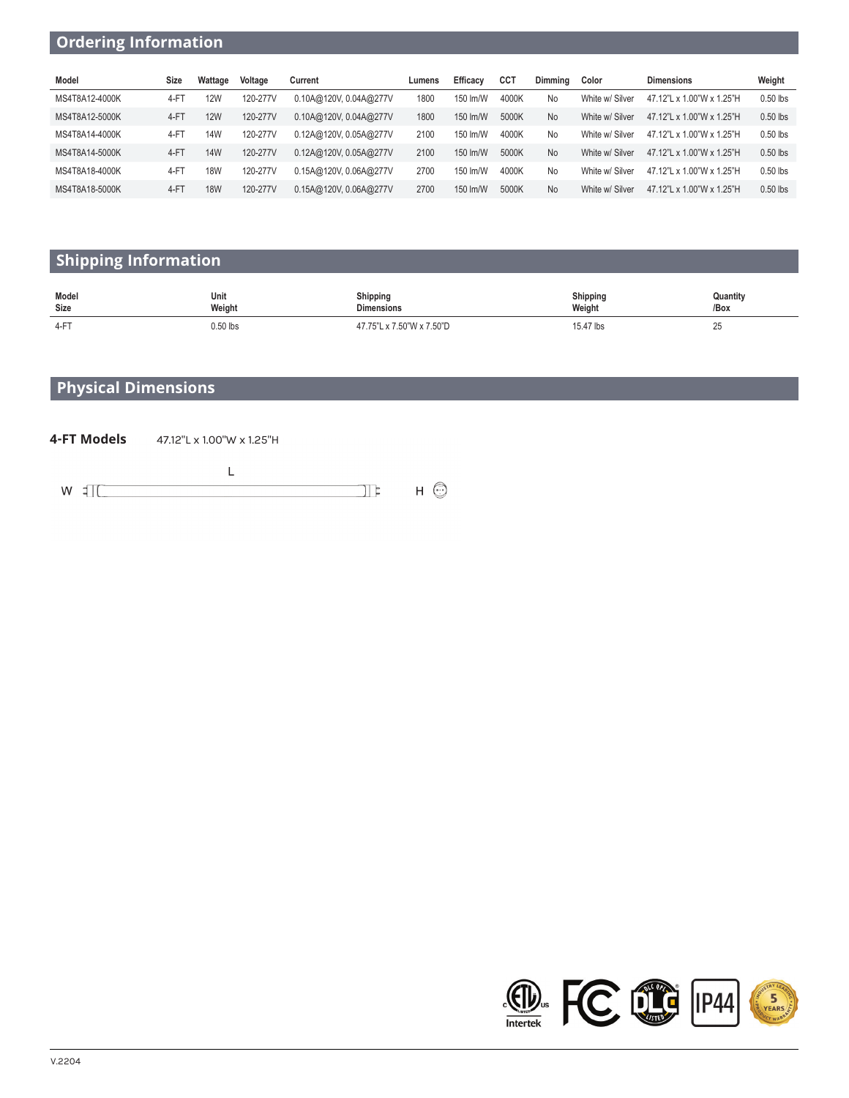### **Ordering Information**

| Model          | Size   | Wattage    | Voltage  | Current                | Lumens | Efficacy | CC <sub>1</sub> | Dimmina   | Color           | <b>Dimensions</b>         | Weight     |
|----------------|--------|------------|----------|------------------------|--------|----------|-----------------|-----------|-----------------|---------------------------|------------|
| MS4T8A12-4000K | $4-F1$ | <b>12W</b> | 120-277V | 0.10A@120V, 0.04A@277V | 1800   | 150 lm/W | 4000K           | No        | White w/ Silver | 47.12"L x 1.00"W x 1.25"H | $0.50$ lbs |
| MS4T8A12-5000K | $4-FT$ | <b>12W</b> | 120-277V | 0.10A@120V, 0.04A@277V | 1800   | 150 lm/W | 5000K           | <b>No</b> | White w/ Silver | 47.12"L x 1.00"W x 1.25"H | $0.50$ lbs |
| MS4T8A14-4000K | 4-FT   | 14W        | 120-277V | 0.12A@120V, 0.05A@277V | 2100   | 150 lm/W | 4000K           | No        | White w/ Silver | 47.12"L x 1.00"W x 1.25"H | $0.50$ lbs |
| MS4T8A14-5000K | $4-FT$ | <b>14W</b> | 120-277V | 0.12A@120V, 0.05A@277V | 2100   | 150 lm/W | 5000K           | <b>No</b> | White w/ Silver | 47.12"L x 1.00"W x 1.25"H | $0.50$ lbs |
| MS4T8A18-4000K | 4-FT   | <b>18W</b> | 120-277V | 0.15A@120V, 0.06A@277V | 2700   | 150 lm/W | 4000K           | No        | White w/ Silver | 47.12"L x 1.00"W x 1.25"H | $0.50$ lbs |
| MS4T8A18-5000K | $4-F$  | <b>18W</b> | 120-277V | 0.15A@120V, 0.06A@277V | 2700   | 150 lm/W | 5000K           | <b>No</b> | White w/ Silver | 47.12"L x 1.00"W x 1.25"H | $0.50$ lbs |

### **Shipping Information**

| Model | Unit       | Shipping                   | Shipping  | Quantity |
|-------|------------|----------------------------|-----------|----------|
| Size  | Weight     | <b>Dimensions</b>          | Weight    | /Box     |
| 4-FT  | $0.50$ lbs | L x 7.50"W x 7.50"D<br>775 | 15.47 lbs | Zu       |

### **Physical Dimensions**